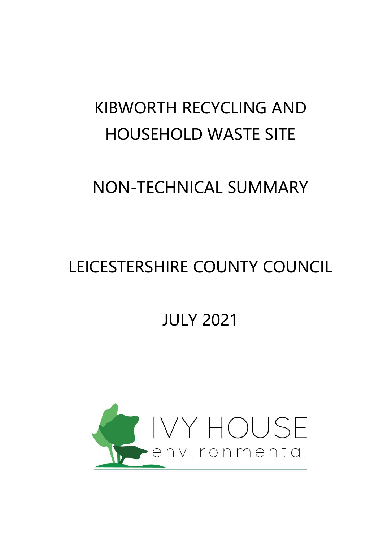# KIBWORTH RECYCLING AND HOUSEHOLD WASTE SITE

### NON-TECHNICAL SUMMARY

## LEICESTERSHIRE COUNTY COUNCIL

### JULY 2021

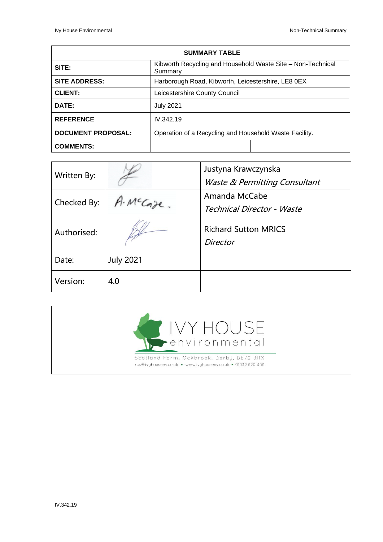| <b>SUMMARY TABLE</b>      |                                                                        |  |
|---------------------------|------------------------------------------------------------------------|--|
| SITE:                     | Kibworth Recycling and Household Waste Site - Non-Technical<br>Summary |  |
| <b>SITE ADDRESS:</b>      | Harborough Road, Kibworth, Leicestershire, LE8 0EX                     |  |
| <b>CLIENT:</b>            | Leicestershire County Council                                          |  |
| DATE:                     | <b>July 2021</b>                                                       |  |
| <b>REFERENCE</b>          | IV.342.19                                                              |  |
| <b>DOCUMENT PROPOSAL:</b> | Operation of a Recycling and Household Waste Facility.                 |  |
| <b>COMMENTS:</b>          |                                                                        |  |

| Written By: |                  | Justyna Krawczynska<br><b>Waste &amp; Permitting Consultant</b> |
|-------------|------------------|-----------------------------------------------------------------|
| Checked By: | A. McCaze.       | Amanda McCabe<br>Technical Director - Waste                     |
| Authorised: |                  | <b>Richard Sutton MRICS</b><br><b>Director</b>                  |
| Date:       | <b>July 2021</b> |                                                                 |
| Version:    | 4.0              |                                                                 |

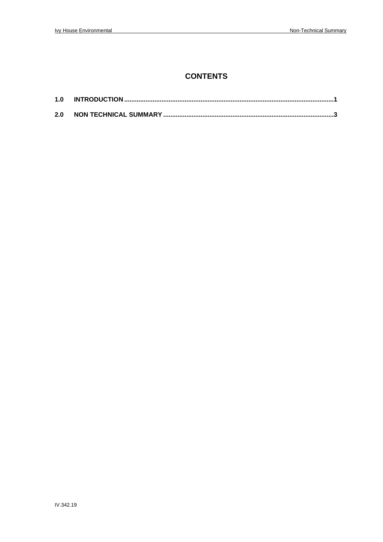### **CONTENTS**

| 1.0 |  |
|-----|--|
| 2.0 |  |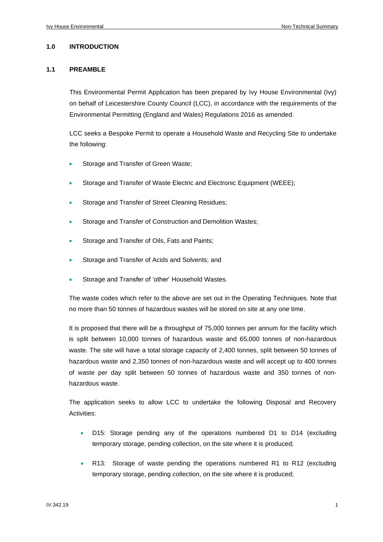#### **1.0 INTRODUCTION**

#### **1.1 PREAMBLE**

This Environmental Permit Application has been prepared by Ivy House Environmental (Ivy) on behalf of Leicestershire County Council (LCC), in accordance with the requirements of the Environmental Permitting (England and Wales) Regulations 2016 as amended.

LCC seeks a Bespoke Permit to operate a Household Waste and Recycling Site to undertake the following:

- Storage and Transfer of Green Waste;
- Storage and Transfer of Waste Electric and Electronic Equipment (WEEE);
- Storage and Transfer of Street Cleaning Residues;
- Storage and Transfer of Construction and Demolition Wastes;
- Storage and Transfer of Oils, Fats and Paints;
- Storage and Transfer of Acids and Solvents; and
- Storage and Transfer of 'other' Household Wastes.

The waste codes which refer to the above are set out in the Operating Techniques. Note that no more than 50 tonnes of hazardous wastes will be stored on site at any one time.

It is proposed that there will be a throughput of 75,000 tonnes per annum for the facility which is split between 10,000 tonnes of hazardous waste and 65,000 tonnes of non-hazardous waste. The site will have a total storage capacity of 2,400 tonnes, split between 50 tonnes of hazardous waste and 2,350 tonnes of non-hazardous waste and will accept up to 400 tonnes of waste per day split between 50 tonnes of hazardous waste and 350 tonnes of nonhazardous waste.

The application seeks to allow LCC to undertake the following Disposal and Recovery Activities:

- D15: Storage pending any of the operations numbered D1 to D14 (excluding temporary storage, pending collection, on the site where it is produced;
- R13: Storage of waste pending the operations numbered R1 to R12 (excluding temporary storage, pending collection, on the site where it is produced;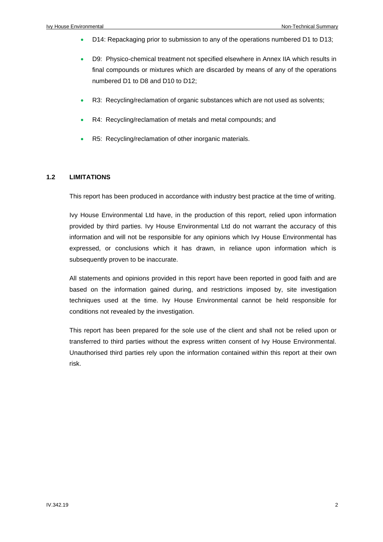- D14: Repackaging prior to submission to any of the operations numbered D1 to D13;
- D9: Physico-chemical treatment not specified elsewhere in Annex IIA which results in final compounds or mixtures which are discarded by means of any of the operations numbered D1 to D8 and D10 to D12;
- R3: Recycling/reclamation of organic substances which are not used as solvents;
- R4: Recycling/reclamation of metals and metal compounds; and
- R5: Recycling/reclamation of other inorganic materials.

#### **1.2 LIMITATIONS**

This report has been produced in accordance with industry best practice at the time of writing.

Ivy House Environmental Ltd have, in the production of this report, relied upon information provided by third parties. Ivy House Environmental Ltd do not warrant the accuracy of this information and will not be responsible for any opinions which Ivy House Environmental has expressed, or conclusions which it has drawn, in reliance upon information which is subsequently proven to be inaccurate.

All statements and opinions provided in this report have been reported in good faith and are based on the information gained during, and restrictions imposed by, site investigation techniques used at the time. Ivy House Environmental cannot be held responsible for conditions not revealed by the investigation.

This report has been prepared for the sole use of the client and shall not be relied upon or transferred to third parties without the express written consent of Ivy House Environmental. Unauthorised third parties rely upon the information contained within this report at their own risk.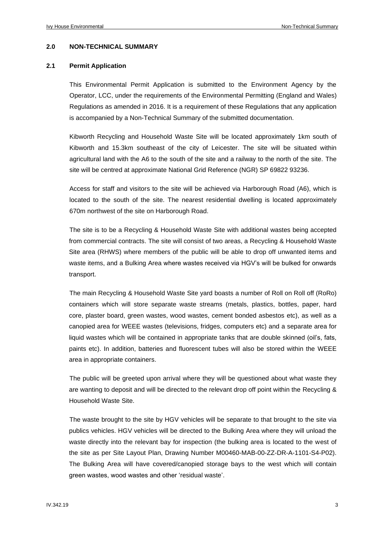#### **2.0 NON-TECHNICAL SUMMARY**

#### **2.1 Permit Application**

This Environmental Permit Application is submitted to the Environment Agency by the Operator, LCC, under the requirements of the Environmental Permitting (England and Wales) Regulations as amended in 2016. It is a requirement of these Regulations that any application is accompanied by a Non-Technical Summary of the submitted documentation.

Kibworth Recycling and Household Waste Site will be located approximately 1km south of Kibworth and 15.3km southeast of the city of Leicester. The site will be situated within agricultural land with the A6 to the south of the site and a railway to the north of the site. The site will be centred at approximate National Grid Reference (NGR) SP 69822 93236.

Access for staff and visitors to the site will be achieved via Harborough Road (A6), which is located to the south of the site. The nearest residential dwelling is located approximately 670m northwest of the site on Harborough Road.

The site is to be a Recycling & Household Waste Site with additional wastes being accepted from commercial contracts. The site will consist of two areas, a Recycling & Household Waste Site area (RHWS) where members of the public will be able to drop off unwanted items and waste items, and a Bulking Area where wastes received via HGV's will be bulked for onwards transport.

The main Recycling & Household Waste Site yard boasts a number of Roll on Roll off (RoRo) containers which will store separate waste streams (metals, plastics, bottles, paper, hard core, plaster board, green wastes, wood wastes, cement bonded asbestos etc), as well as a canopied area for WEEE wastes (televisions, fridges, computers etc) and a separate area for liquid wastes which will be contained in appropriate tanks that are double skinned (oil's, fats, paints etc). In addition, batteries and fluorescent tubes will also be stored within the WEEE area in appropriate containers.

The public will be greeted upon arrival where they will be questioned about what waste they are wanting to deposit and will be directed to the relevant drop off point within the Recycling & Household Waste Site.

The waste brought to the site by HGV vehicles will be separate to that brought to the site via publics vehicles. HGV vehicles will be directed to the Bulking Area where they will unload the waste directly into the relevant bay for inspection (the bulking area is located to the west of the site as per Site Layout Plan, Drawing Number M00460-MAB-00-ZZ-DR-A-1101-S4-P02). The Bulking Area will have covered/canopied storage bays to the west which will contain green wastes, wood wastes and other 'residual waste'.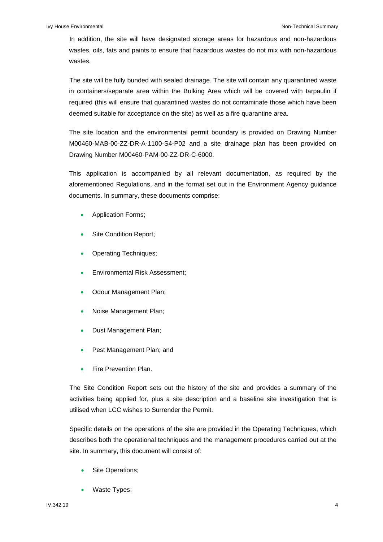In addition, the site will have designated storage areas for hazardous and non-hazardous wastes, oils, fats and paints to ensure that hazardous wastes do not mix with non-hazardous wastes.

The site will be fully bunded with sealed drainage. The site will contain any quarantined waste in containers/separate area within the Bulking Area which will be covered with tarpaulin if required (this will ensure that quarantined wastes do not contaminate those which have been deemed suitable for acceptance on the site) as well as a fire quarantine area.

The site location and the environmental permit boundary is provided on Drawing Number M00460-MAB-00-ZZ-DR-A-1100-S4-P02 and a site drainage plan has been provided on Drawing Number M00460-PAM-00-ZZ-DR-C-6000.

This application is accompanied by all relevant documentation, as required by the aforementioned Regulations, and in the format set out in the Environment Agency guidance documents. In summary, these documents comprise:

- Application Forms;
- Site Condition Report;
- Operating Techniques;
- Environmental Risk Assessment;
- Odour Management Plan;
- Noise Management Plan;
- Dust Management Plan;
- Pest Management Plan; and
- Fire Prevention Plan.

The Site Condition Report sets out the history of the site and provides a summary of the activities being applied for, plus a site description and a baseline site investigation that is utilised when LCC wishes to Surrender the Permit.

Specific details on the operations of the site are provided in the Operating Techniques, which describes both the operational techniques and the management procedures carried out at the site. In summary, this document will consist of:

- Site Operations;
- Waste Types;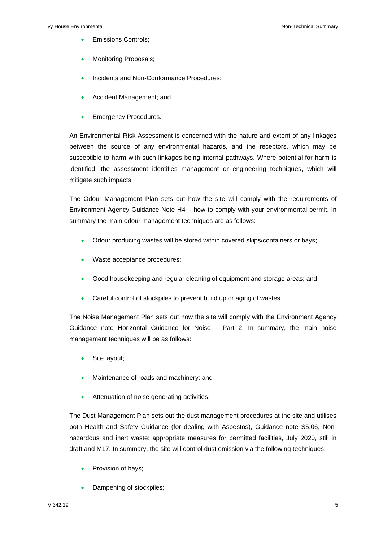- Emissions Controls;
- Monitoring Proposals;
- Incidents and Non-Conformance Procedures;
- Accident Management; and
- **Emergency Procedures.**

An Environmental Risk Assessment is concerned with the nature and extent of any linkages between the source of any environmental hazards, and the receptors, which may be susceptible to harm with such linkages being internal pathways. Where potential for harm is identified, the assessment identifies management or engineering techniques, which will mitigate such impacts.

The Odour Management Plan sets out how the site will comply with the requirements of Environment Agency Guidance Note H4 – how to comply with your environmental permit. In summary the main odour management techniques are as follows:

- Odour producing wastes will be stored within covered skips/containers or bays;
- Waste acceptance procedures;
- Good housekeeping and regular cleaning of equipment and storage areas; and
- Careful control of stockpiles to prevent build up or aging of wastes.

The Noise Management Plan sets out how the site will comply with the Environment Agency Guidance note Horizontal Guidance for Noise – Part 2. In summary, the main noise management techniques will be as follows:

- Site layout;
- Maintenance of roads and machinery; and
- Attenuation of noise generating activities.

The Dust Management Plan sets out the dust management procedures at the site and utilises both Health and Safety Guidance (for dealing with Asbestos), Guidance note S5.06, Nonhazardous and inert waste: appropriate measures for permitted facilities, July 2020, still in draft and M17. In summary, the site will control dust emission via the following techniques:

- Provision of bays;
- Dampening of stockpiles;